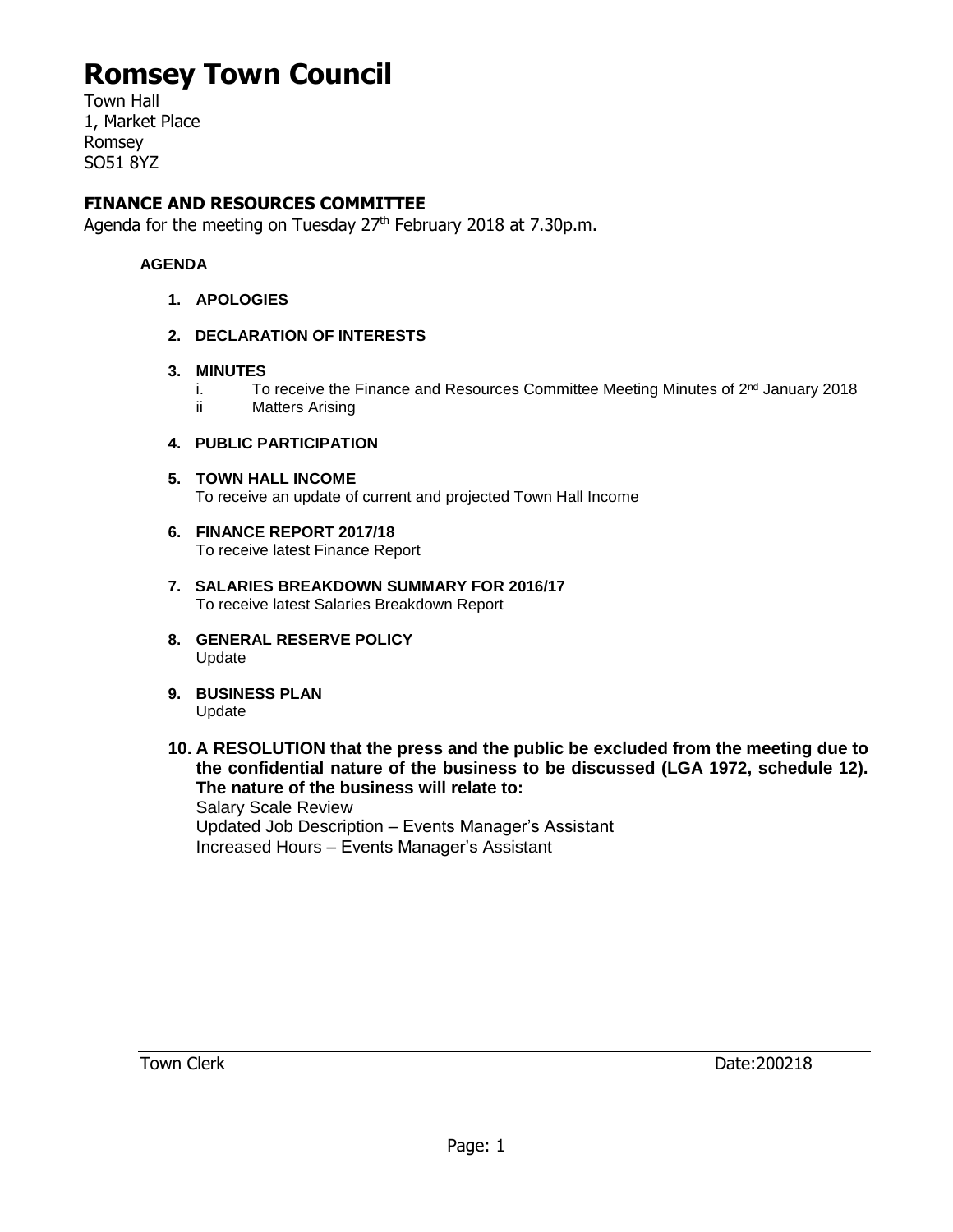## **Romsey Town Council**

Town Hall 1, Market Place Romsey SO51 8YZ

### **FINANCE AND RESOURCES COMMITTEE**

Agenda for the meeting on Tuesday 27<sup>th</sup> February 2018 at 7.30p.m.

#### **AGENDA**

- **1. APOLOGIES**
- **2. DECLARATION OF INTERESTS**
- **3. MINUTES**
	- i. To receive the Finance and Resources Committee Meeting Minutes of  $2<sup>nd</sup>$  January 2018
	- ii Matters Arising

#### **4. PUBLIC PARTICIPATION**

**5. TOWN HALL INCOME**

To receive an update of current and projected Town Hall Income

- **6. FINANCE REPORT 2017/18** To receive latest Finance Report
- **7. SALARIES BREAKDOWN SUMMARY FOR 2016/17** To receive latest Salaries Breakdown Report
- **8. GENERAL RESERVE POLICY** Update
- **9. BUSINESS PLAN** Update
- **10. A RESOLUTION that the press and the public be excluded from the meeting due to the confidential nature of the business to be discussed (LGA 1972, schedule 12). The nature of the business will relate to:**

Salary Scale Review Updated Job Description – Events Manager's Assistant Increased Hours – Events Manager's Assistant

Town Clerk 200218